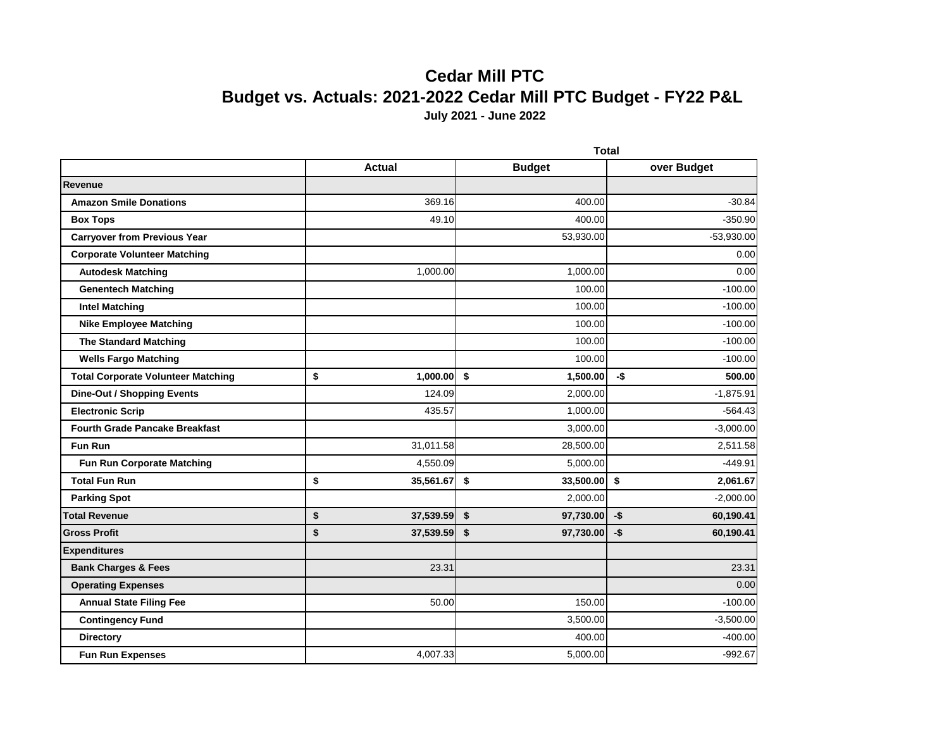## **Cedar Mill PTC Budget vs. Actuals: 2021-2022 Cedar Mill PTC Budget - FY22 P&L July 2021 - June 2022**

|                                           | <b>Total</b>    |    |               |      |              |
|-------------------------------------------|-----------------|----|---------------|------|--------------|
|                                           | <b>Actual</b>   |    | <b>Budget</b> |      | over Budget  |
| <b>Revenue</b>                            |                 |    |               |      |              |
| <b>Amazon Smile Donations</b>             | 369.16          |    | 400.00        |      | $-30.84$     |
| <b>Box Tops</b>                           | 49.10           |    | 400.00        |      | $-350.90$    |
| <b>Carryover from Previous Year</b>       |                 |    | 53,930.00     |      | $-53,930.00$ |
| <b>Corporate Volunteer Matching</b>       |                 |    |               |      | 0.00         |
| <b>Autodesk Matching</b>                  | 1,000.00        |    | 1,000.00      |      | 0.00         |
| <b>Genentech Matching</b>                 |                 |    | 100.00        |      | $-100.00$    |
| <b>Intel Matching</b>                     |                 |    | 100.00        |      | $-100.00$    |
| <b>Nike Employee Matching</b>             |                 |    | 100.00        |      | $-100.00$    |
| <b>The Standard Matching</b>              |                 |    | 100.00        |      | $-100.00$    |
| <b>Wells Fargo Matching</b>               |                 |    | 100.00        |      | $-100.00$    |
| <b>Total Corporate Volunteer Matching</b> | \$<br>1,000.00  | \$ | 1,500.00      | -\$  | 500.00       |
| <b>Dine-Out / Shopping Events</b>         | 124.09          |    | 2,000.00      |      | $-1,875.91$  |
| <b>Electronic Scrip</b>                   | 435.57          |    | 1,000.00      |      | $-564.43$    |
| <b>Fourth Grade Pancake Breakfast</b>     |                 |    | 3,000.00      |      | $-3,000.00$  |
| <b>Fun Run</b>                            | 31,011.58       |    | 28,500.00     |      | 2,511.58     |
| <b>Fun Run Corporate Matching</b>         | 4,550.09        |    | 5,000.00      |      | $-449.91$    |
| <b>Total Fun Run</b>                      | \$<br>35,561.67 | \$ | 33,500.00 \$  |      | 2,061.67     |
| <b>Parking Spot</b>                       |                 |    | 2,000.00      |      | $-2,000.00$  |
| <b>Total Revenue</b>                      | \$<br>37,539.59 | \$ | 97,730.00     | $-5$ | 60,190.41    |
| <b>Gross Profit</b>                       | \$<br>37,539.59 | \$ | 97,730.00     | $-5$ | 60,190.41    |
| <b>Expenditures</b>                       |                 |    |               |      |              |
| <b>Bank Charges &amp; Fees</b>            | 23.31           |    |               |      | 23.31        |
| <b>Operating Expenses</b>                 |                 |    |               |      | 0.00         |
| <b>Annual State Filing Fee</b>            | 50.00           |    | 150.00        |      | $-100.00$    |
| <b>Contingency Fund</b>                   |                 |    | 3,500.00      |      | $-3,500.00$  |
| <b>Directory</b>                          |                 |    | 400.00        |      | $-400.00$    |
| <b>Fun Run Expenses</b>                   | 4,007.33        |    | 5,000.00      |      | $-992.67$    |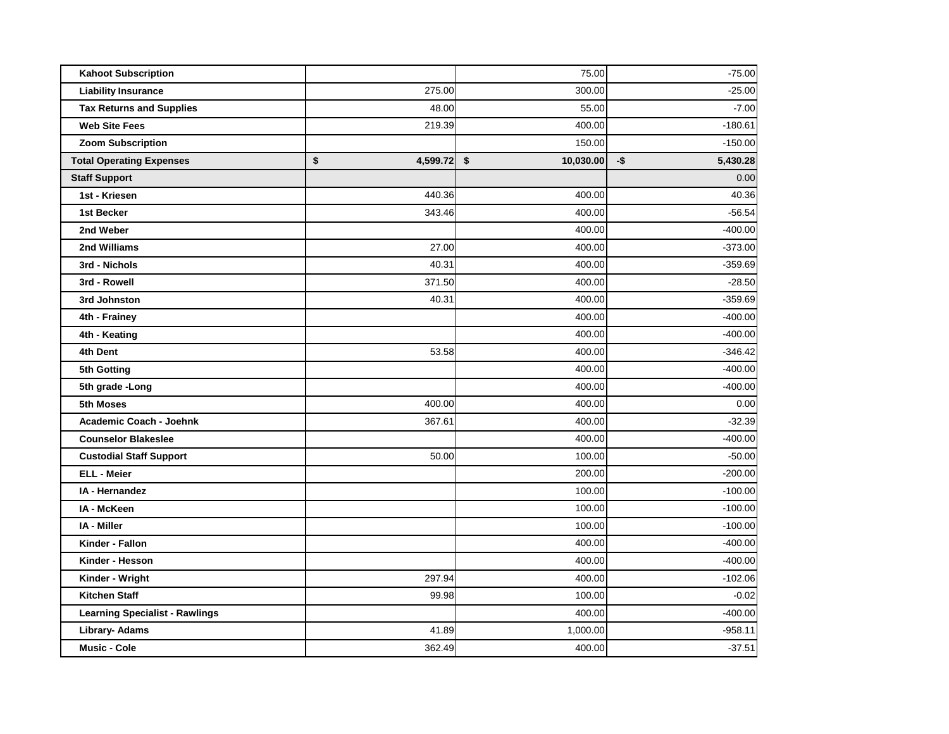| <b>Kahoot Subscription</b>            |                | 75.00           | $-75.00$           |
|---------------------------------------|----------------|-----------------|--------------------|
| <b>Liability Insurance</b>            | 275.00         | 300.00          | $-25.00$           |
| <b>Tax Returns and Supplies</b>       | 48.00          | 55.00           | $-7.00$            |
| <b>Web Site Fees</b>                  | 219.39         | 400.00          | $-180.61$          |
| <b>Zoom Subscription</b>              |                | 150.00          | $-150.00$          |
| <b>Total Operating Expenses</b>       | \$<br>4,599.72 | \$<br>10,030.00 | $-$ \$<br>5,430.28 |
| <b>Staff Support</b>                  |                |                 | 0.00               |
| 1st - Kriesen                         | 440.36         | 400.00          | 40.36              |
| 1st Becker                            | 343.46         | 400.00          | $-56.54$           |
| 2nd Weber                             |                | 400.00          | $-400.00$          |
| 2nd Williams                          | 27.00          | 400.00          | $-373.00$          |
| 3rd - Nichols                         | 40.31          | 400.00          | $-359.69$          |
| 3rd - Rowell                          | 371.50         | 400.00          | $-28.50$           |
| 3rd Johnston                          | 40.31          | 400.00          | $-359.69$          |
| 4th - Frainey                         |                | 400.00          | $-400.00$          |
| 4th - Keating                         |                | 400.00          | $-400.00$          |
| 4th Dent                              | 53.58          | 400.00          | -346.42            |
| 5th Gotting                           |                | 400.00          | $-400.00$          |
| 5th grade - Long                      |                | 400.00          | $-400.00$          |
| 5th Moses                             | 400.00         | 400.00          | 0.00               |
| Academic Coach - Joehnk               | 367.61         | 400.00          | $-32.39$           |
| <b>Counselor Blakeslee</b>            |                | 400.00          | $-400.00$          |
| <b>Custodial Staff Support</b>        | 50.00          | 100.00          | $-50.00$           |
| <b>ELL - Meier</b>                    |                | 200.00          | $-200.00$          |
| IA - Hernandez                        |                | 100.00          | $-100.00$          |
| IA - McKeen                           |                | 100.00          | $-100.00$          |
| IA - Miller                           |                | 100.00          | $-100.00$          |
| Kinder - Fallon                       |                | 400.00          | $-400.00$          |
| Kinder - Hesson                       |                | 400.00          | $-400.00$          |
| Kinder - Wright                       | 297.94         | 400.00          | $-102.06$          |
| <b>Kitchen Staff</b>                  | 99.98          | 100.00          | $-0.02$            |
| <b>Learning Specialist - Rawlings</b> |                | 400.00          | $-400.00$          |
| Library- Adams                        | 41.89          | 1,000.00        | $-958.11$          |
| <b>Music - Cole</b>                   | 362.49         | 400.00          | $-37.51$           |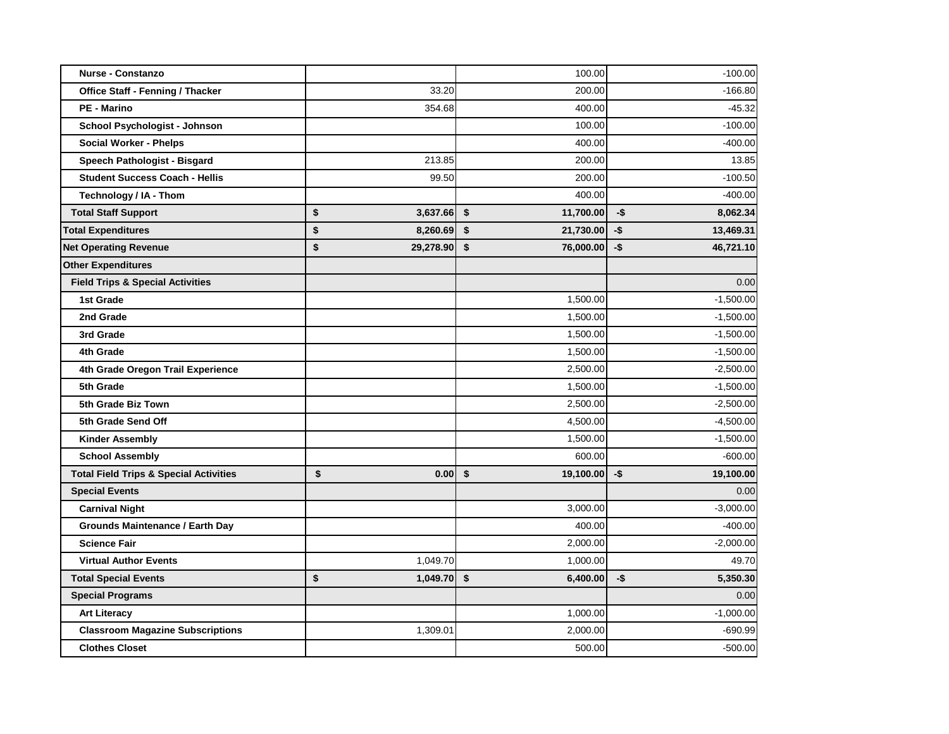| <b>Nurse - Constanzo</b>                          |                 | 100.00                |      | $-100.00$   |
|---------------------------------------------------|-----------------|-----------------------|------|-------------|
| <b>Office Staff - Fenning / Thacker</b>           | 33.20           | 200.00                |      | $-166.80$   |
| <b>PE - Marino</b>                                | 354.68          | 400.00                |      | $-45.32$    |
| School Psychologist - Johnson                     |                 | 100.00                |      | $-100.00$   |
| <b>Social Worker - Phelps</b>                     |                 | 400.00                |      | $-400.00$   |
| Speech Pathologist - Bisgard                      | 213.85          | 200.00                |      | 13.85       |
| <b>Student Success Coach - Hellis</b>             | 99.50           | 200.00                |      | $-100.50$   |
| Technology / IA - Thom                            |                 | 400.00                |      | $-400.00$   |
| <b>Total Staff Support</b>                        | \$<br>3,637.66  | \$<br>11,700.00       | -\$  | 8,062.34    |
| <b>Total Expenditures</b>                         | \$<br>8,260.69  | \$<br>21,730.00       | $-5$ | 13,469.31   |
| <b>Net Operating Revenue</b>                      | \$<br>29,278.90 | \$<br>76,000.00       | -\$  | 46,721.10   |
| <b>Other Expenditures</b>                         |                 |                       |      |             |
| <b>Field Trips &amp; Special Activities</b>       |                 |                       |      | 0.00        |
| 1st Grade                                         |                 | 1,500.00              |      | $-1,500.00$ |
| 2nd Grade                                         |                 | 1,500.00              |      | $-1,500.00$ |
| 3rd Grade                                         |                 | 1,500.00              |      | $-1,500.00$ |
| 4th Grade                                         |                 | 1,500.00              |      | $-1,500.00$ |
| 4th Grade Oregon Trail Experience                 |                 | 2,500.00              |      | $-2,500.00$ |
| 5th Grade                                         |                 | 1,500.00              |      | $-1,500.00$ |
| 5th Grade Biz Town                                |                 | 2,500.00              |      | $-2,500.00$ |
| 5th Grade Send Off                                |                 | 4,500.00              |      | $-4,500.00$ |
| <b>Kinder Assembly</b>                            |                 | 1,500.00              |      | $-1,500.00$ |
| <b>School Assembly</b>                            |                 | 600.00                |      | $-600.00$   |
| <b>Total Field Trips &amp; Special Activities</b> | \$<br>0.001     | \$<br>$19,100.00$ -\$ |      | 19,100.00   |
| <b>Special Events</b>                             |                 |                       |      | 0.00        |
| <b>Carnival Night</b>                             |                 | 3,000.00              |      | $-3,000.00$ |
| <b>Grounds Maintenance / Earth Day</b>            |                 | 400.00                |      | $-400.00$   |
| <b>Science Fair</b>                               |                 | 2,000.00              |      | $-2,000.00$ |
| <b>Virtual Author Events</b>                      | 1,049.70        | 1,000.00              |      | 49.70       |
| <b>Total Special Events</b>                       | \$<br>1,049.70  | \$<br>6,400.00        | -\$  | 5,350.30    |
| <b>Special Programs</b>                           |                 |                       |      | 0.00        |
| <b>Art Literacy</b>                               |                 | 1,000.00              |      | $-1,000.00$ |
| <b>Classroom Magazine Subscriptions</b>           | 1,309.01        | 2,000.00              |      | $-690.99$   |
| <b>Clothes Closet</b>                             |                 | 500.00                |      | $-500.00$   |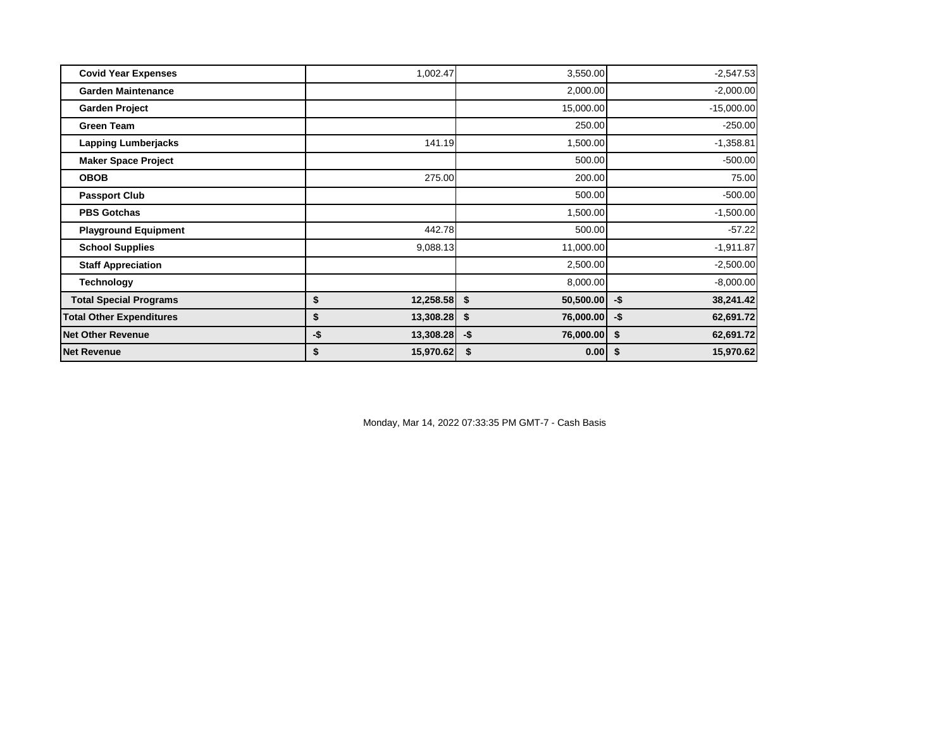| <b>Covid Year Expenses</b>      | 1,002.47         | 3,550.00         | $-2,547.53$      |
|---------------------------------|------------------|------------------|------------------|
| <b>Garden Maintenance</b>       |                  | 2,000.00         | $-2,000.00$      |
| <b>Garden Project</b>           |                  | 15,000.00        | $-15,000.00$     |
| <b>Green Team</b>               |                  | 250.00           | $-250.00$        |
| <b>Lapping Lumberjacks</b>      | 141.19           | 1,500.00         | $-1,358.81$      |
| <b>Maker Space Project</b>      |                  | 500.00           | $-500.00$        |
| <b>OBOB</b>                     | 275.00           | 200.00           | 75.00            |
| <b>Passport Club</b>            |                  | 500.00           | $-500.00$        |
| <b>PBS Gotchas</b>              |                  | 1,500.00         | $-1,500.00$      |
| <b>Playground Equipment</b>     | 442.78           | 500.00           | $-57.22$         |
| <b>School Supplies</b>          | 9,088.13         | 11,000.00        | $-1,911.87$      |
| <b>Staff Appreciation</b>       |                  | 2,500.00         | $-2,500.00$      |
| <b>Technology</b>               |                  | 8,000.00         | $-8,000.00$      |
| <b>Total Special Programs</b>   | \$<br>12,258.58  | \$<br>50,500.00  | 38,241.42<br>-\$ |
| <b>Total Other Expenditures</b> | 13,308.28<br>\$  | \$<br>76,000.00  | -\$<br>62,691.72 |
| <b>Net Other Revenue</b>        | -\$<br>13,308.28 | -\$<br>76,000.00 | 62,691.72<br>\$  |
| <b>Net Revenue</b>              | 15,970.62<br>\$  | \$<br>0.00       | 15,970.62<br>\$  |

Monday, Mar 14, 2022 07:33:35 PM GMT-7 - Cash Basis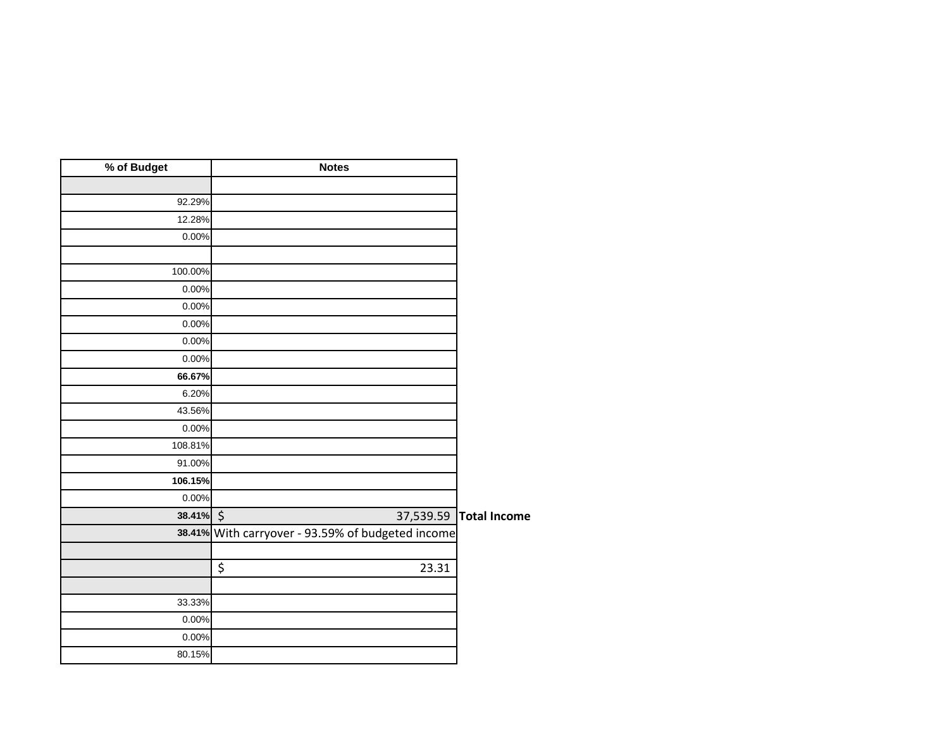| % of Budget | <b>Notes</b>                                      |                     |
|-------------|---------------------------------------------------|---------------------|
|             |                                                   |                     |
| 92.29%      |                                                   |                     |
| 12.28%      |                                                   |                     |
| 0.00%       |                                                   |                     |
|             |                                                   |                     |
| 100.00%     |                                                   |                     |
| 0.00%       |                                                   |                     |
| 0.00%       |                                                   |                     |
| 0.00%       |                                                   |                     |
| 0.00%       |                                                   |                     |
| 0.00%       |                                                   |                     |
| 66.67%      |                                                   |                     |
| 6.20%       |                                                   |                     |
| 43.56%      |                                                   |                     |
| 0.00%       |                                                   |                     |
| 108.81%     |                                                   |                     |
| 91.00%      |                                                   |                     |
| 106.15%     |                                                   |                     |
| 0.00%       |                                                   |                     |
| 38.41% \$   | 37,539.59                                         | <b>Total Income</b> |
|             | 38.41% With carryover - 93.59% of budgeted income |                     |
|             |                                                   |                     |
|             | \$<br>23.31                                       |                     |
|             |                                                   |                     |
| 33.33%      |                                                   |                     |
| 0.00%       |                                                   |                     |
| 0.00%       |                                                   |                     |
| 80.15%      |                                                   |                     |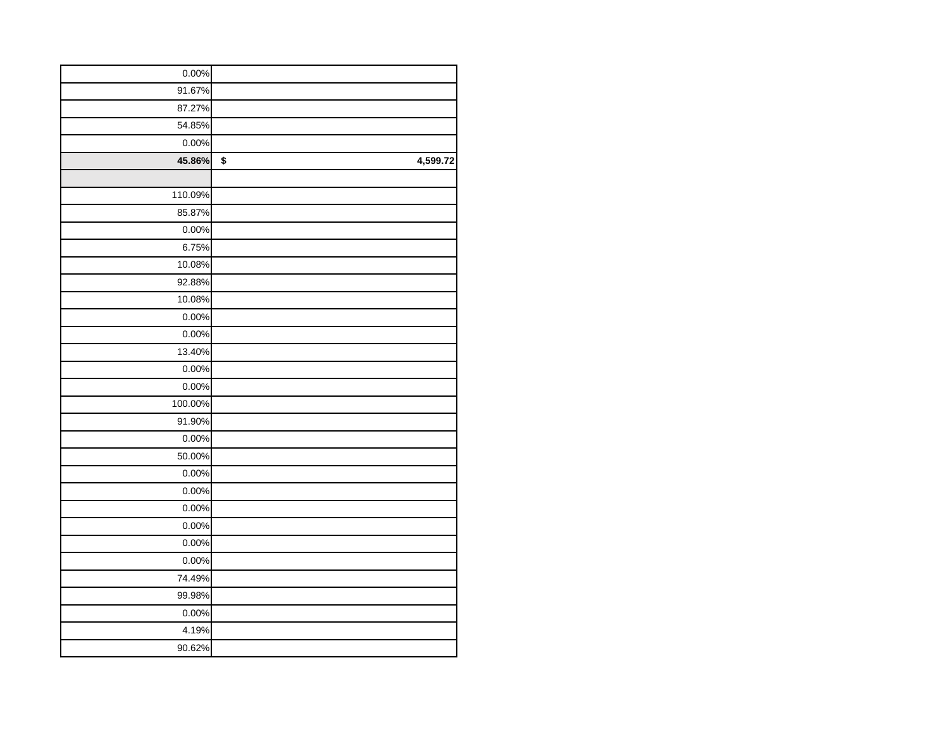| 0.00%   |                |
|---------|----------------|
| 91.67%  |                |
| 87.27%  |                |
| 54.85%  |                |
| 0.00%   |                |
| 45.86%  | \$<br>4,599.72 |
|         |                |
| 110.09% |                |
| 85.87%  |                |
| 0.00%   |                |
| 6.75%   |                |
| 10.08%  |                |
| 92.88%  |                |
| 10.08%  |                |
| 0.00%   |                |
| 0.00%   |                |
| 13.40%  |                |
| 0.00%   |                |
| 0.00%   |                |
| 100.00% |                |
| 91.90%  |                |
| 0.00%   |                |
| 50.00%  |                |
| 0.00%   |                |
| 0.00%   |                |
| 0.00%   |                |
| 0.00%   |                |
| 0.00%   |                |
| 0.00%   |                |
| 74.49%  |                |
| 99.98%  |                |
| 0.00%   |                |
| 4.19%   |                |
| 90.62%  |                |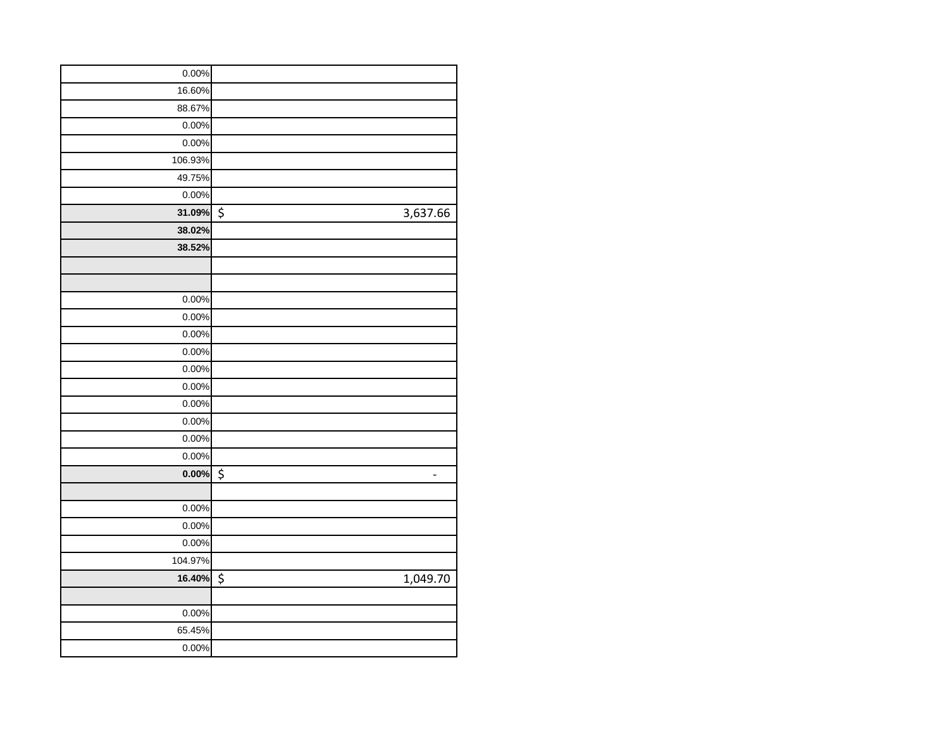| 0.00%    |                         |
|----------|-------------------------|
| 16.60%   |                         |
| 88.67%   |                         |
| 0.00%    |                         |
| 0.00%    |                         |
| 106.93%  |                         |
| 49.75%   |                         |
| 0.00%    |                         |
| 31.09%   | \$<br>3,637.66          |
| 38.02%   |                         |
| 38.52%   |                         |
|          |                         |
|          |                         |
| 0.00%    |                         |
| 0.00%    |                         |
| 0.00%    |                         |
| 0.00%    |                         |
| 0.00%    |                         |
| 0.00%    |                         |
| 0.00%    |                         |
| 0.00%    |                         |
| 0.00%    |                         |
| 0.00%    |                         |
| $0.00\%$ | \$<br>$\qquad \qquad -$ |
|          |                         |
| 0.00%    |                         |
| 0.00%    |                         |
| 0.00%    |                         |
| 104.97%  |                         |
| 16.40%   | \$<br>1,049.70          |
|          |                         |
| 0.00%    |                         |
| 65.45%   |                         |
| 0.00%    |                         |
|          |                         |